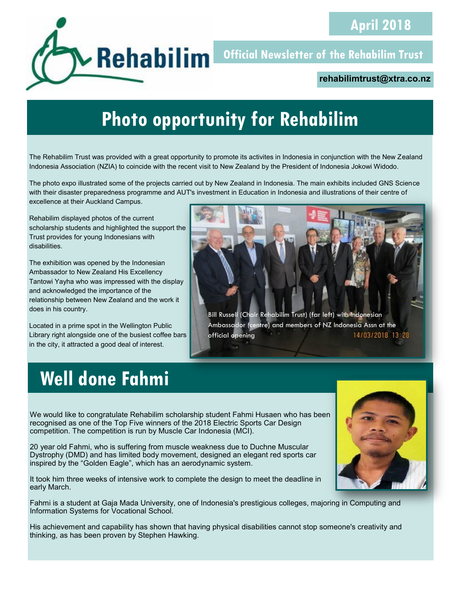

**Official Newsletter of the Rehabilim Trust** 

#### **rehabilimtrust@xtra.co.nz**

# **Photo opportunity for Rehabilim**

The Rehabilim Trust was provided with a great opportunity to promote its activites in Indonesia in conjunction with the New Zealand Indonesia Association (NZIA) to coincide with the recent visit to New Zealand by the President of Indonesia Jokowi Widodo.

The photo expo illustrated some of the projects carried out by New Zealand in Indonesia. The main exhibits included GNS Science with their disaster preparedness programme and AUT's investment in Education in Indonesia and illustrations of their centre of excellence at their Auckland Campus.

Rehabilim displayed photos of the current scholarship students and highlighted the support the Trust provides for young Indonesians with disabilities.

The exhibition was opened by the Indonesian Ambassador to New Zealand His Excellency Tantowi Yayha who was impressed with the display and acknowledged the importance of the relationship between New Zealand and the work it does in his country.

Located in a prime spot in the Wellington Public Library right alongside one of the busiest coffee bars in the city, it attracted a good deal of interest.



## **Well done Fahmi**

We would like to congratulate Rehabilim scholarship student Fahmi Husaen who has been recognised as one of the Top Five winners of the 2018 Electric Sports Car Design competition. The competition is run by Muscle Car Indonesia (MCI).

20 year old Fahmi, who is suffering from muscle weakness due to Duchne Muscular Dystrophy (DMD) and has limited body movement, designed an elegant red sports car inspired by the "Golden Eagle", which has an aerodynamic system.

It took him three weeks of intensive work to complete the design to meet the deadline in early March.

Fahmi is a student at Gaja Mada University, one of Indonesia's prestigious colleges, majoring in Computing and Information Systems for Vocational School.

His achievement and capability has shown that having physical disabilities cannot stop someone's creativity and thinking, as has been proven by Stephen Hawking.

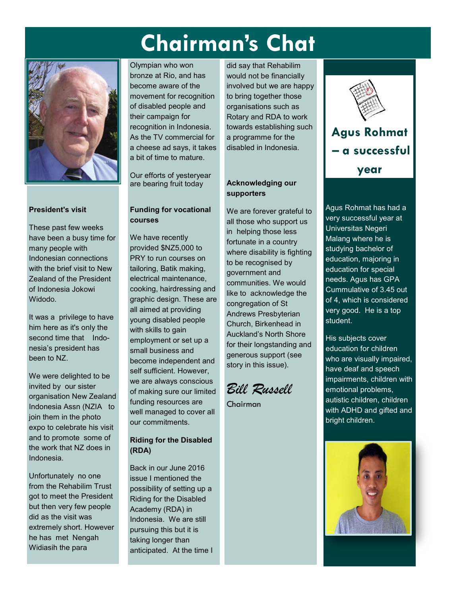# **Chairman's Chat**



#### **President's visit**

These past few weeks have been a busy time for many people with Indonesian connections with the brief visit to New Zealand of the President of Indonesia Jokowi Widodo.

It was a privilege to have him here as it's only the second time that Indonesia's president has been to NZ.

We were delighted to be invited by our sister organisation New Zealand Indonesia Assn (NZIA to join them in the photo expo to celebrate his visit and to promote some of the work that NZ does in Indonesia.

Unfortunately no one from the Rehabilim Trust got to meet the President but then very few people did as the visit was extremely short. However he has met Nengah Widiasih the para

Olympian who won bronze at Rio, and has become aware of the movement for recognition of disabled people and their campaign for recognition in Indonesia. As the TV commercial for a cheese ad says, it takes a bit of time to mature.

Our efforts of yesteryear are bearing fruit today

#### **Funding for vocational courses**

We have recently provided \$NZ5,000 to PRY to run courses on tailoring, Batik making, electrical maintenance, cooking, hairdressing and graphic design. These are all aimed at providing young disabled people with skills to gain employment or set up a small business and become independent and self sufficient. However, we are always conscious of making sure our limited funding resources are well managed to cover all our commitments.

#### **Riding for the Disabled (RDA)**

Back in our June 2016 issue I mentioned the possibility of setting up a Riding for the Disabled Academy (RDA) in Indonesia. We are still pursuing this but it is taking longer than anticipated. At the time I

did say that Rehabilim would not be financially involved but we are happy to bring together those organisations such as Rotary and RDA to work towards establishing such a programme for the disabled in Indonesia.

#### **Acknowledging our supporters**

We are forever grateful to all those who support us in helping those less fortunate in a country where disability is fighting to be recognised by government and communities. We would like to acknowledge the congregation of St Andrews Presbyterian Church, Birkenhead in Auckland's North Shore for their longstanding and generous support (see story in this issue).

*Bill Russell*

Chairman



**year**

Agus Rohmat has had a very successful year at Universitas Negeri Malang where he is studying bachelor of education, majoring in education for special needs. Agus has GPA Cummulative of 3.45 out of 4, which is considered very good. He is a top student.

His subjects cover education for children who are visually impaired, have deaf and speech impairments, children with emotional problems, autistic children, children with ADHD and gifted and bright children.

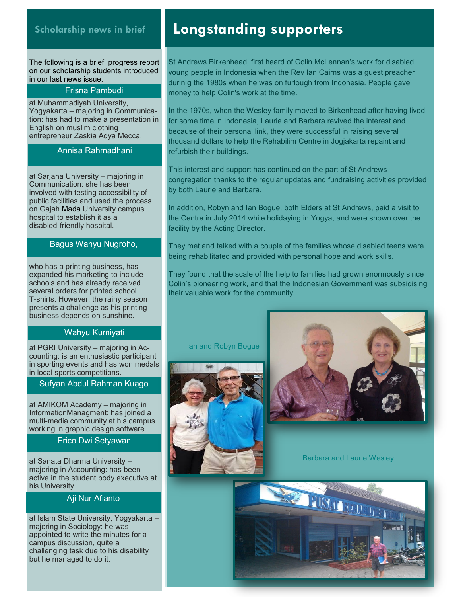#### **Scholarship news in brief**

l

The following is a brief progress report on our scholarship students introduced in our last news issue.

#### Frisna Pambudi

at Muhammadiyah University, Yogyakarta – majoring in Communication: has had to make a presentation in English on muslim clothing entrepreneur Zaskia Adya Mecca.

#### Annisa Rahmadhani

at Sarjana University – majoring in Communication: she has been involved with testing accessibility of public facilities and used the process on Gajah Mada University campus hospital to establish it as a disabled-friendly hospital.

#### Bagus Wahyu Nugroho,

who has a printing business, has expanded his marketing to include schools and has already received several orders for printed school T-shirts. However, the rainy season presents a challenge as his printing business depends on sunshine.

#### Wahyu Kurniyati

at PGRI University – majoring in Acat TON University – majoring in Ac-<br>counting: is an enthusiastic participant in sporting events and has won medals in local sports competitions.

#### Sufyan Abdul Rahman Kuago

at AMIKOM Academy – majoring in *Agus sent us this report on his visit to PRY*  multi-media community at his campus *in Yogyakarta where he met the Chairman and what he learned at the centre.* working in graphic design software. InformationManagment: has joined a

#### During my time in Yogya, I learnt how to Erico Dwi Setyawan

at Sanata Dharma University – ar Jamara Dinama Diarus.<br>majoring in Accounting: has been majoring in recoditing that book. in the development planning. his University.

#### Children with cerebral palsy suffer from Aji Nur Afianto

at Islam State University, Yogyakarta – majoring in Sociology: he was appointed to write the minutes for a  $c$ ampus discussion, quite a challenging task due to his disability but he managed to do it. class 'TKLB', but at YKKUM it is named it is named it is named it is named it is named it is named it is named

### **Longstanding supporters**

St Andrews Birkenhead, first heard of Colin McLennan's work for disabled young people in Indonesia when the Rev Ian Cairns was a guest preacher durin g the 1980s when he was on furlough from Indonesia. People gave money to help Colin's work at the time.

In May and June Fahmi was busy with final In the 1970s, when the Wesley family moved to Birkenhead after having lived for some time in Indonesia, Laurie and Barbara revived the interest and because of their personal link, they were successful in raising several thousand dollars to help the Rehabilim Centre in Jogjakarta repaint and refurbish their buildings.

 $\tau$ his interest and support hes continu This interest and support has continued on the part of St Andrews congregation thanks to the regular updates and fundraising activities provided by both Laurie and Barbara.

Fahmi is also involved in student community In addition, Robyn and Ian Bogue, both Elders at St Andrews, paid a visit to the Centre in July 2014 while holidaying in Yogya, and were shown over the  $\frac{1}{2}$  facility by the Acting Director facility by the Acting Director.

is teaching him about co-operation and They met and talked with a couple of the families whose disabled teens were In July Fahmi entered a reseach competition being rehabilitated and provided with personal hope and work skills.

The *statistical* that the seeds of the b They found that the scale of the help to families had grown enormously since Colin's pioneering work, and that the Indonesian Government was subsidising their valuable work for the community.

#### Ian and Robyn Bogue





Barbara and Laurie Wesley